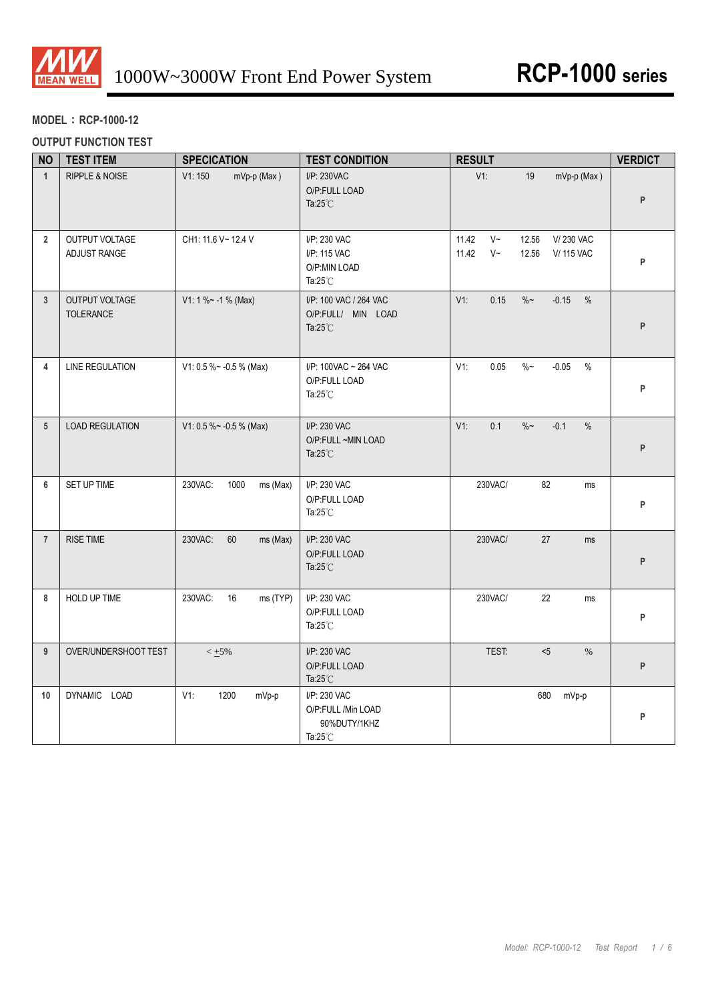

# **MODEL**:**RCP-1000-12**

## **OUTPUT FUNCTION TEST**

| <b>NO</b>       | <b>TEST ITEM</b>               | <b>SPECICATION</b>          | <b>TEST CONDITION</b>                                                    | <b>RESULT</b>                                                                             | <b>VERDICT</b> |
|-----------------|--------------------------------|-----------------------------|--------------------------------------------------------------------------|-------------------------------------------------------------------------------------------|----------------|
| $\mathbf{1}$    | RIPPLE & NOISE                 | V1:150<br>mVp-p (Max)       | I/P: 230VAC<br>O/P:FULL LOAD<br>Ta: $25^{\circ}$ C                       | V1:<br>mVp-p (Max)<br>19                                                                  | P              |
| $\overline{2}$  | OUTPUT VOLTAGE<br>ADJUST RANGE | CH1: 11.6 V~ 12.4 V         | I/P: 230 VAC<br>I/P: 115 VAC<br>O/P:MIN LOAD<br>Ta: $25^{\circ}$ C       | 11.42<br>$V~\sim$<br>12.56<br>V/230 VAC<br>$V~\sim$<br>11.42<br>12.56<br><b>V/115 VAC</b> | P              |
| $\mathbf{3}$    | OUTPUT VOLTAGE<br>TOLERANCE    | $V1: 1 % ~ -1 % (Max)$      | I/P: 100 VAC / 264 VAC<br>O/P:FULL/ MIN LOAD<br>Ta: $25^{\circ}$ C       | V1:<br>0.15<br>$\%$ $\sim$<br>$-0.15$ %                                                   | P              |
| 4               | <b>LINE REGULATION</b>         | V1: 0.5 % ~ - 0.5 % (Max)   | I/P: 100VAC ~ 264 VAC<br>O/P:FULL LOAD<br>Ta: $25^{\circ}$ C             | 0.05<br>$\%$ $\sim$<br>$-0.05$<br>V1:<br>$\%$                                             | P              |
| $5\phantom{.0}$ | <b>LOAD REGULATION</b>         | V1: 0.5 % ~ - 0.5 % (Max)   | I/P: 230 VAC<br>O/P:FULL ~MIN LOAD<br>Ta: $25^{\circ}$ C                 | 0.1<br>$\%$ $\sim$<br>$-0.1$<br>$\%$<br>$V1$ :                                            | P              |
| 6               | SET UP TIME                    | 230VAC:<br>1000<br>ms (Max) | I/P: 230 VAC<br>O/P:FULL LOAD<br>Ta: $25^{\circ}$ C                      | 230VAC/<br>82<br>ms                                                                       | P              |
| $\overline{7}$  | <b>RISE TIME</b>               | 230VAC:<br>60<br>ms (Max)   | I/P: 230 VAC<br>O/P:FULL LOAD<br>Ta: $25^{\circ}$ C                      | 230VAC/<br>27<br>ms                                                                       | P              |
| 8               | HOLD UP TIME                   | 230VAC:<br>16<br>ms (TYP)   | I/P: 230 VAC<br>O/P:FULL LOAD<br>Ta: $25^{\circ}$ C                      | 230VAC/<br>22<br>ms                                                                       | P              |
| 9               | OVER/UNDERSHOOT TEST           | $< +5\%$                    | I/P: 230 VAC<br>O/P:FULL LOAD<br>Ta: $25^{\circ}$ C                      | TEST:<br>$5$<br>$\%$                                                                      | P              |
| 10              | DYNAMIC LOAD                   | V1:<br>1200<br>mVp-p        | I/P: 230 VAC<br>O/P:FULL /Min LOAD<br>90%DUTY/1KHZ<br>Ta: $25^{\circ}$ C | 680<br>mVp-p                                                                              | P              |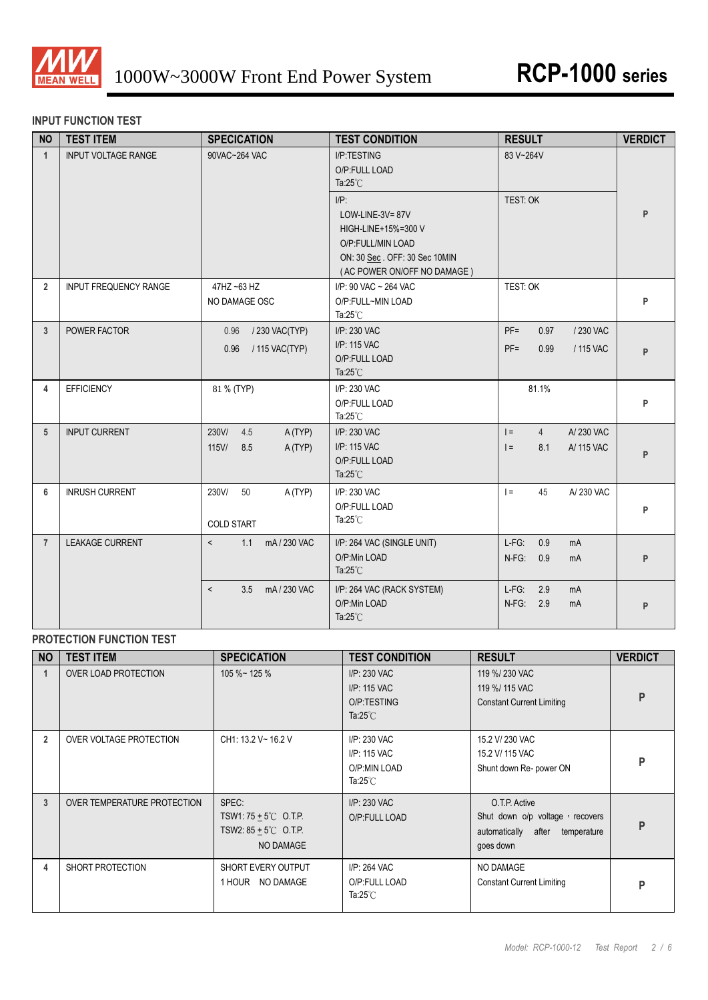

### **INPUT FUNCTION TEST**

| <b>NO</b>      | <b>TEST ITEM</b>           | <b>SPECICATION</b>                                | <b>TEST CONDITION</b>                                                                                                        | <b>RESULT</b>                                                  | <b>VERDICT</b> |
|----------------|----------------------------|---------------------------------------------------|------------------------------------------------------------------------------------------------------------------------------|----------------------------------------------------------------|----------------|
| $\mathbf{1}$   | <b>INPUT VOLTAGE RANGE</b> | 90VAC~264 VAC                                     | I/P:TESTING<br>O/P:FULL LOAD<br>Ta: $25^{\circ}$ C<br>$I/P$ :<br>LOW-LINE-3V=87V<br>HIGH-LINE+15%=300 V<br>O/P:FULL/MIN LOAD | 83 V~264V<br>TEST: OK                                          | P              |
|                |                            |                                                   | ON: 30 Sec. OFF: 30 Sec 10MIN<br>(AC POWER ON/OFF NO DAMAGE)                                                                 |                                                                |                |
| $\overline{2}$ | INPUT FREQUENCY RANGE      | 47HZ ~63 HZ<br>NO DAMAGE OSC                      | I/P: 90 VAC ~ 264 VAC<br>O/P:FULL~MIN LOAD<br>Ta: $25^{\circ}$ C                                                             | TEST: OK                                                       | P              |
| 3              | POWER FACTOR               | / 230 VAC(TYP)<br>0.96<br>/ 115 VAC(TYP)<br>0.96  | I/P: 230 VAC<br>I/P: 115 VAC<br>O/P:FULL LOAD<br>Ta: $25^{\circ}$ C                                                          | $PF =$<br>/ 230 VAC<br>0.97<br>$PF =$<br>0.99<br>/ 115 VAC     | P              |
| 4              | <b>EFFICIENCY</b>          | 81 % (TYP)                                        | I/P: 230 VAC<br>O/P:FULL LOAD<br>Ta: $25^{\circ}$ C                                                                          | 81.1%                                                          | P              |
| 5              | <b>INPUT CURRENT</b>       | 230V/<br>4.5<br>A (TYP)<br>115V/<br>8.5<br>A(TYP) | I/P: 230 VAC<br>I/P: 115 VAC<br>O/P:FULL LOAD<br>Ta: $25^{\circ}$ C                                                          | A/230 VAC<br>$=$<br>$\overline{4}$<br>$=$<br>8.1<br>A/ 115 VAC | P              |
| 6              | <b>INRUSH CURRENT</b>      | 230V/<br>50<br>A (TYP)<br><b>COLD START</b>       | I/P: 230 VAC<br>O/P:FULL LOAD<br>Ta: $25^{\circ}$ C                                                                          | 45<br>$\vert =$<br>A/230 VAC                                   | P              |
| $\overline{7}$ | <b>LEAKAGE CURRENT</b>     | $\prec$<br>1.1<br>mA / 230 VAC                    | I/P: 264 VAC (SINGLE UNIT)<br>O/P:Min LOAD<br>Ta: $25^{\circ}$ C                                                             | $L-FG$ :<br>0.9<br>mA<br>$N-FG$ :<br>0.9<br>mA                 | P              |
|                |                            | mA/230 VAC<br>3.5<br>$\,<\,$                      | I/P: 264 VAC (RACK SYSTEM)<br>O/P:Min LOAD<br>Ta: $25^{\circ}$ C                                                             | $L-FG$ :<br>2.9<br>mA<br>N-FG:<br>2.9<br>mA                    | P              |

# **PROTECTION FUNCTION TEST**

| <b>NO</b>      | <b>TEST ITEM</b>            | <b>SPECICATION</b>                                                                          | <b>TEST CONDITION</b>                                              | <b>RESULT</b>                                                                                       | <b>VERDICT</b> |
|----------------|-----------------------------|---------------------------------------------------------------------------------------------|--------------------------------------------------------------------|-----------------------------------------------------------------------------------------------------|----------------|
|                | <b>OVER LOAD PROTECTION</b> | $105 \%$ ~ 125 %                                                                            | I/P: 230 VAC<br>I/P: 115 VAC<br>O/P:TESTING<br>Ta: $25^{\circ}$ C  | 119 %/ 230 VAC<br>119 %/ 115 VAC<br><b>Constant Current Limiting</b>                                | P              |
| $\overline{2}$ | OVER VOLTAGE PROTECTION     | CH1: 13.2 V~ 16.2 V                                                                         | I/P: 230 VAC<br>I/P: 115 VAC<br>O/P:MIN LOAD<br>Ta: $25^{\circ}$ C | 15.2 V/ 230 VAC<br>15.2 V/ 115 VAC<br>Shunt down Re- power ON                                       | P              |
| 3              | OVER TEMPERATURE PROTECTION | SPEC:<br>TSW1: $75 + 5^{\circ}$ O.T.P.<br>TSW2: $85 + 5^{\circ}$ O.T.P.<br><b>NO DAMAGE</b> | I/P: 230 VAC<br>O/P:FULL LOAD                                      | O.T.P. Active<br>Shut down o/p voltage, recovers<br>automatically after<br>temperature<br>goes down | P              |
| 4              | SHORT PROTECTION            | SHORT EVERY OUTPUT<br>1 HOUR NO DAMAGE                                                      | I/P: 264 VAC<br>O/P:FULL LOAD<br>Ta: $25^{\circ}$ C                | NO DAMAGE<br><b>Constant Current Limiting</b>                                                       | P              |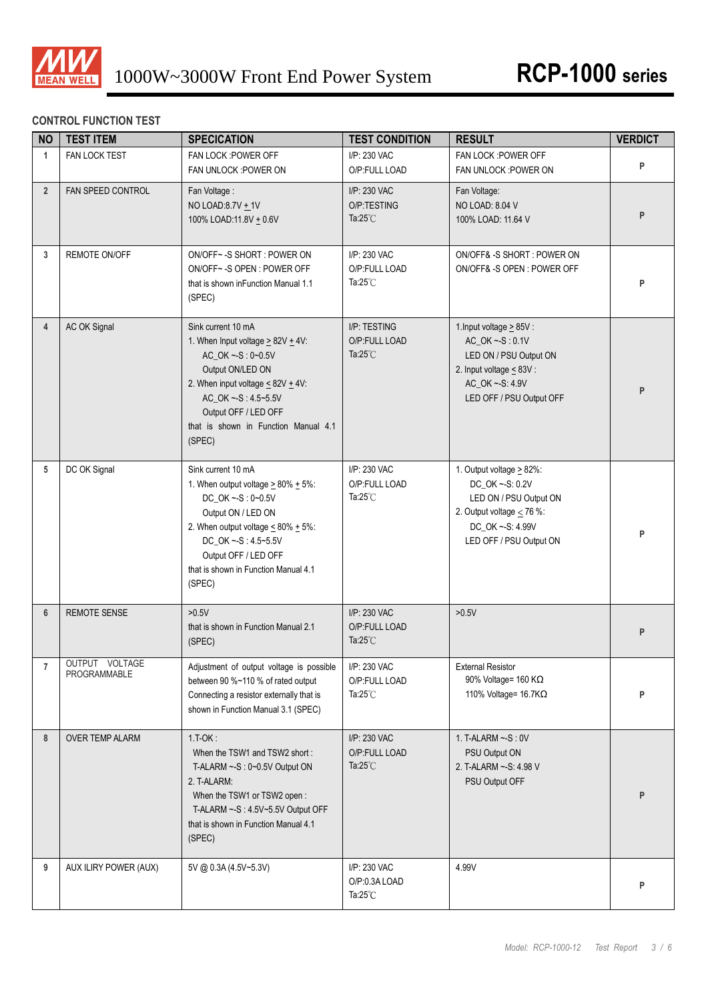

# **CONTROL FUNCTION TEST**

| <b>NO</b>      | <b>TEST ITEM</b>               | <b>SPECICATION</b>                                                                                                                                                                                                                                          | <b>TEST CONDITION</b>                               | <b>RESULT</b>                                                                                                                                              | <b>VERDICT</b> |
|----------------|--------------------------------|-------------------------------------------------------------------------------------------------------------------------------------------------------------------------------------------------------------------------------------------------------------|-----------------------------------------------------|------------------------------------------------------------------------------------------------------------------------------------------------------------|----------------|
| $\mathbf{1}$   | FAN LOCK TEST                  | FAN LOCK : POWER OFF<br>FAN UNLOCK : POWER ON                                                                                                                                                                                                               | I/P: 230 VAC<br>O/P:FULL LOAD                       | FAN LOCK : POWER OFF<br>FAN UNLOCK : POWER ON                                                                                                              | P              |
| $\overline{2}$ | FAN SPEED CONTROL              | Fan Voltage:<br>NO LOAD:8.7V + 1V<br>100% LOAD:11.8V + 0.6V                                                                                                                                                                                                 | I/P: 230 VAC<br>O/P:TESTING<br>Ta: $25^{\circ}$ C   | Fan Voltage:<br>NO LOAD: 8.04 V<br>100% LOAD: 11.64 V                                                                                                      | P              |
| 3              | <b>REMOTE ON/OFF</b>           | ON/OFF~-S SHORT: POWER ON<br>ON/OFF~-S OPEN: POWER OFF<br>that is shown in Function Manual 1.1<br>(SPEC)                                                                                                                                                    | I/P: 230 VAC<br>O/P:FULL LOAD<br>Ta: $25^{\circ}$ C | ON/OFF& -S SHORT : POWER ON<br>ON/OFF& -S OPEN: POWER OFF                                                                                                  | P              |
| $\overline{4}$ | AC OK Signal                   | Sink current 10 mA<br>1. When Input voltage $\geq$ 82V $\pm$ 4V:<br>AC_OK ~-S: 0~0.5V<br>Output ON/LED ON<br>2. When input voltage $\leq$ 82V $\pm$ 4V:<br>AC_OK ~-S: 4.5~5.5V<br>Output OFF / LED OFF<br>that is shown in Function Manual 4.1<br>(SPEC)    | I/P: TESTING<br>O/P:FULL LOAD<br>Ta: $25^{\circ}$ C | 1. Input voltage $\geq$ 85V :<br>AC_OK ~- S: 0.1V<br>LED ON / PSU Output ON<br>2. Input voltage < 83V :<br>AC_OK ~- S: 4.9V<br>LED OFF / PSU Output OFF    | P              |
| 5              | DC OK Signal                   | Sink current 10 mA<br>1. When output voltage $\geq 80\% + 5\%$ :<br>DC_OK ~-S: 0~0.5V<br>Output ON / LED ON<br>2. When output voltage $\leq 80\% + 5\%$ :<br>DC_OK ~- S: 4.5~5.5V<br>Output OFF / LED OFF<br>that is shown in Function Manual 4.1<br>(SPEC) | I/P: 230 VAC<br>O/P:FULL LOAD<br>Ta: $25^{\circ}$ C | 1. Output voltage $\geq$ 82%:<br>DC_OK ~- S: 0.2V<br>LED ON / PSU Output ON<br>2. Output voltage $<$ 76 %:<br>DC_OK ~- S: 4.99V<br>LED OFF / PSU Output ON | P              |
| $6\phantom{1}$ | <b>REMOTE SENSE</b>            | >0.5V<br>that is shown in Function Manual 2.1<br>(SPEC)                                                                                                                                                                                                     | I/P: 230 VAC<br>O/P:FULL LOAD<br>Ta: $25^{\circ}$ C | $>0.5V$                                                                                                                                                    | P              |
| $\overline{7}$ | OUTPUT VOLTAGE<br>PROGRAMMABLE | Adjustment of output voltage is possible<br>between 90 %~110 % of rated output<br>Connecting a resistor externally that is<br>shown in Function Manual 3.1 (SPEC)                                                                                           | I/P: 230 VAC<br>O/P:FULL LOAD<br>Ta: $25^{\circ}$ C | <b>External Resistor</b><br>90% Voltage= 160 KΩ<br>110% Voltage= 16.7KΩ                                                                                    | P              |
| 8              | <b>OVER TEMP ALARM</b>         | $1.T-OK:$<br>When the TSW1 and TSW2 short:<br>T-ALARM $\sim$ -S : 0 $\sim$ 0.5V Output ON<br>2. T-ALARM:<br>When the TSW1 or TSW2 open:<br>T-ALARM ~- S: 4.5V~5.5V Output OFF<br>that is shown in Function Manual 4.1<br>(SPEC)                             | I/P: 230 VAC<br>O/P:FULL LOAD<br>Ta: $25^{\circ}$ C | 1. T-ALARM ~- S: 0V<br>PSU Output ON<br>2. T-ALARM ~- S: 4.98 V<br>PSU Output OFF                                                                          | P              |
| 9              | AUX ILIRY POWER (AUX)          | 5V @ 0.3A (4.5V~5.3V)                                                                                                                                                                                                                                       | I/P: 230 VAC<br>O/P:0.3A LOAD<br>Ta: $25^{\circ}$ C | 4.99V                                                                                                                                                      | P              |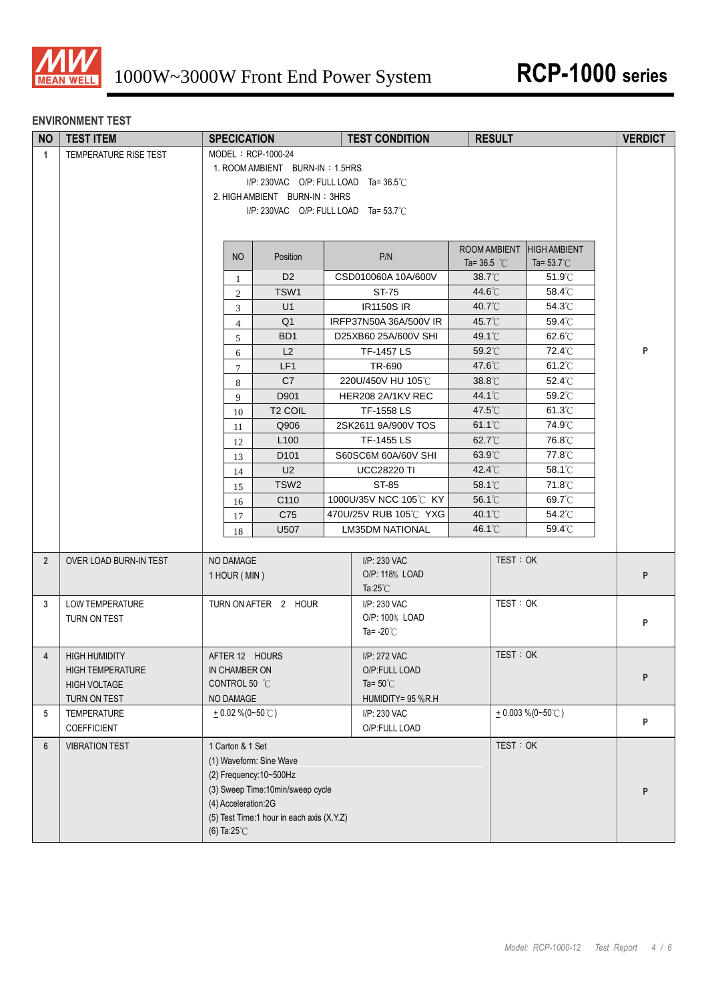

#### **ENVIRONMENT TEST**

| <b>NO</b>      | <b>TEST ITEM</b>        | <b>SPECICATION</b>                        |                                       | <b>TEST CONDITION</b>                    | <b>RESULT</b>              |                      | <b>VERDICT</b> |  |
|----------------|-------------------------|-------------------------------------------|---------------------------------------|------------------------------------------|----------------------------|----------------------|----------------|--|
| $\mathbf{1}$   | TEMPERATURE RISE TEST   | MODEL: RCP-1000-24                        |                                       |                                          |                            |                      |                |  |
|                |                         | 1. ROOM AMBIENT BURN-IN: 1.5HRS           |                                       |                                          |                            |                      |                |  |
|                |                         |                                           |                                       | $I/P$ : 230VAC O/P: FULL LOAD Ta= 36.5°C |                            |                      |                |  |
|                |                         | 2. HIGH AMBIENT BURN-IN: 3HRS             |                                       |                                          |                            |                      |                |  |
|                |                         |                                           | I/P: 230VAC O/P: FULL LOAD Ta= 53.7°C |                                          |                            |                      |                |  |
|                |                         |                                           |                                       |                                          |                            |                      |                |  |
|                |                         |                                           |                                       |                                          | ROOM AMBIENT               | <b>HIGH AMBIENT</b>  |                |  |
|                |                         | <b>NO</b>                                 | Position                              | P/N                                      | Ta= $36.5^{\circ}$ C       | Ta= $53.7^{\circ}$ C |                |  |
|                |                         | 1                                         | D <sub>2</sub>                        | CSD010060A 10A/600V                      | $38.7^{\circ}$ C           | $51.9^{\circ}$ C     |                |  |
|                |                         | $\overline{2}$                            | TSW1                                  | ST-75                                    | 44.6°C                     | 58.4°C               |                |  |
|                |                         | $\mathfrak{Z}$                            | U1                                    | <b>IR1150S IR</b>                        | 40.7°C                     | $54.3^{\circ}$ C     |                |  |
|                |                         | $\overline{4}$                            | Q <sub>1</sub>                        | IRFP37N50A 36A/500V IR                   | 45.7°C                     | 59.4°C               |                |  |
|                |                         | 5                                         | BD <sub>1</sub>                       | D25XB60 25A/600V SHI                     | 49.1°C                     | 62.6°C               |                |  |
|                |                         | 6                                         | L2                                    | <b>TF-1457 LS</b>                        | 59.2°C                     | 72.4°C               | P              |  |
|                |                         | 7                                         | LF1                                   | TR-690                                   | 47.6°C                     | $61.2^{\circ}$ C     |                |  |
|                |                         | 8                                         | C7                                    | 220U/450V HU 105℃                        | 38.8°C                     | $52.4^{\circ}$ C     |                |  |
|                |                         | 9                                         | D901                                  | HER208 2A/1KV REC                        | 44.1°C                     | $59.2^{\circ}$ C     |                |  |
|                |                         | 10                                        | <b>T2 COIL</b>                        | TF-1558 LS                               | $47.5^{\circ}$ C           | $61.3^{\circ}$ C     |                |  |
|                |                         | 11                                        | Q906                                  | 2SK2611 9A/900V TOS                      | $61.1^{\circ}$ C           | 74.9°C               |                |  |
|                |                         | 12                                        | L <sub>100</sub>                      | TF-1455 LS                               | 62.7°C                     | 76.8°C               |                |  |
|                |                         | 13                                        | D <sub>101</sub>                      | S60SC6M 60A/60V SHI                      | $63.9^{\circ}$ C           | 77.8°C               |                |  |
|                |                         | 14                                        | U <sub>2</sub><br>TSW <sub>2</sub>    | <b>UCC28220 TI</b>                       | 42.4°C<br>58.1 $\degree$ C | 58.1°C<br>71.8°C     |                |  |
|                |                         | 15                                        | C110                                  | ST-85<br>1000U/35V NCC 105℃ KY           | 56.1°C                     | 69.7°C               |                |  |
|                |                         | 16                                        | C75                                   | 470U/25V RUB 105℃ YXG                    | 40.1°C                     | 54.2°C               |                |  |
|                |                         | 17                                        | U507                                  | <b>LM35DM NATIONAL</b>                   | 46.1°C                     | $59.4^{\circ}$ C     |                |  |
|                |                         | 18                                        |                                       |                                          |                            |                      |                |  |
| $\overline{2}$ | OVER LOAD BURN-IN TEST  | NO DAMAGE                                 |                                       | I/P: 230 VAC                             | TEST: OK                   |                      |                |  |
|                |                         | 1 HOUR (MIN)                              |                                       | O/P: 118% LOAD                           |                            |                      | P              |  |
|                |                         |                                           |                                       | Ta: $25^{\circ}$ C                       |                            |                      |                |  |
| 3              | LOW TEMPERATURE         | TURN ON AFTER 2 HOUR                      |                                       | I/P: 230 VAC                             | TEST: OK                   |                      |                |  |
|                | TURN ON TEST            |                                           |                                       | O/P: 100% LOAD                           |                            |                      | P              |  |
|                |                         |                                           |                                       | Ta= $-20^{\circ}$ C                      |                            |                      |                |  |
| $\overline{4}$ | <b>HIGH HUMIDITY</b>    | AFTER 12 HOURS                            |                                       | I/P: 272 VAC                             | TEST: OK                   |                      |                |  |
|                | <b>HIGH TEMPERATURE</b> | IN CHAMBER ON                             |                                       | O/P:FULL LOAD                            |                            |                      |                |  |
|                | <b>HIGH VOLTAGE</b>     | CONTROL 50 °C                             |                                       | Ta= $50^{\circ}$ C                       |                            |                      | P              |  |
|                | TURN ON TEST            | NO DAMAGE                                 |                                       | HUMIDITY= 95 %R.H                        |                            |                      |                |  |
| 5              | TEMPERATURE             | $+0.02\%$ (0~50°C)                        |                                       | I/P: 230 VAC                             |                            | $+0.003\%$ (0~50°C)  |                |  |
|                | COEFFICIENT             |                                           |                                       | O/P:FULL LOAD                            |                            |                      | P              |  |
| $6\phantom{1}$ | <b>VIBRATION TEST</b>   | 1 Carton & 1 Set                          |                                       |                                          | TEST: OK                   |                      |                |  |
|                |                         | (1) Waveform: Sine Wave                   |                                       |                                          |                            |                      |                |  |
|                |                         | (2) Frequency: 10~500Hz                   |                                       |                                          |                            |                      |                |  |
|                |                         | (3) Sweep Time:10min/sweep cycle          |                                       |                                          |                            |                      | P              |  |
|                |                         | (4) Acceleration:2G                       |                                       |                                          |                            |                      |                |  |
|                |                         | (5) Test Time:1 hour in each axis (X.Y.Z) |                                       |                                          |                            |                      |                |  |
|                |                         | (6) Ta: $25^{\circ}$ C                    |                                       |                                          |                            |                      |                |  |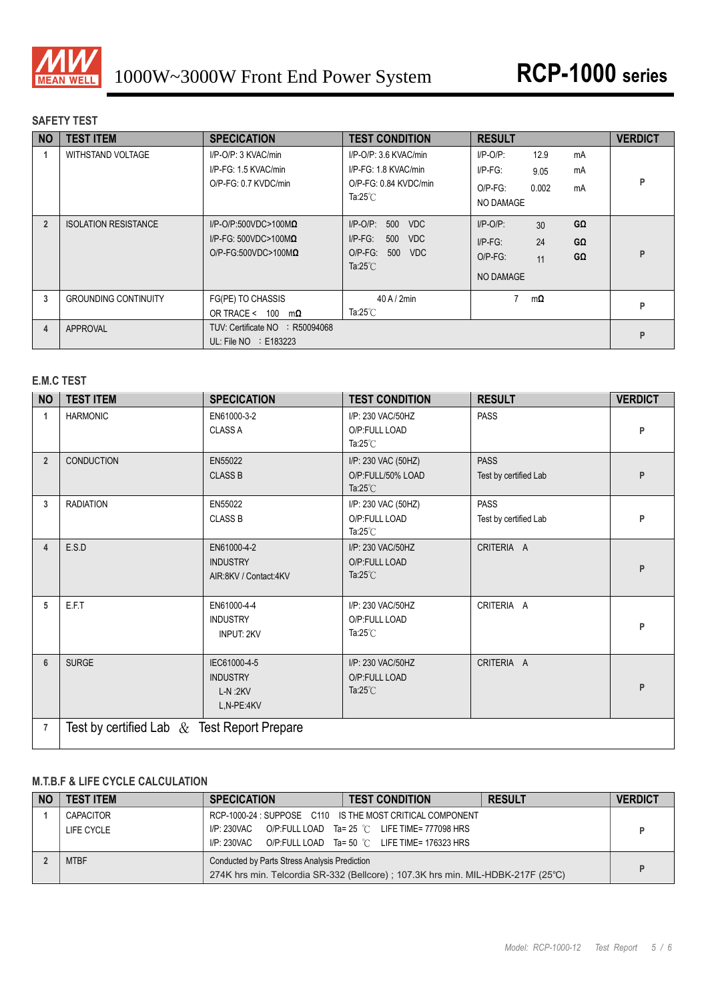

## **SAFETY TEST**

| <b>NO</b>      | <b>TEST ITEM</b>            | <b>SPECICATION</b>                                                                                | <b>TEST CONDITION</b>                                                                                          | <b>RESULT</b>                                                                                   | <b>VERDICT</b> |
|----------------|-----------------------------|---------------------------------------------------------------------------------------------------|----------------------------------------------------------------------------------------------------------------|-------------------------------------------------------------------------------------------------|----------------|
|                | <b>WITHSTAND VOLTAGE</b>    | I/P-O/P: 3 KVAC/min<br>I/P-FG: 1.5 KVAC/min<br>O/P-FG: 0.7 KVDC/min                               | I/P-O/P: 3.6 KVAC/min<br>I/P-FG: 1.8 KVAC/min<br>O/P-FG: 0.84 KVDC/min<br>Ta: $25^{\circ}$ C                   | $I/P$ -O/P:<br>12.9<br>mA<br>$I/P-FG$ :<br>mA<br>9.05<br>0.002<br>$O/P-FG$ :<br>mA<br>NO DAMAGE | Þ              |
| $\overline{2}$ | <b>ISOLATION RESISTANCE</b> | $I/P$ -O/P:500VDC>100M $\Omega$<br>I/P-FG: 500VDC>100M $\Omega$<br>$O/P$ -FG:500VDC>100M $\Omega$ | $I/P$ -O/P:<br>500<br><b>VDC</b><br>$I/P-FG$ :<br>500<br>VDC<br>$O/P-FG$ :<br>500<br>VDC<br>Ta: $25^{\circ}$ C | GΩ<br>$I/P-O/P$ :<br>30<br>24<br>$I/P-FG$ :<br>GΩ<br>GΩ<br>$O/P-FG$ :<br>11<br><b>NO DAMAGE</b> | P              |
| 3              | <b>GROUNDING CONTINUITY</b> | FG(PE) TO CHASSIS<br>OR TRACE $< 100$<br>mΩ                                                       | $40$ A $/$ 2min<br>Ta: $25^{\circ}$ C                                                                          | 7<br>$m\Omega$                                                                                  | P              |
| 4              | <b>APPROVAL</b>             | R50094068<br>TUV: Certificate NO<br>UL: File $NO$ : E183223                                       |                                                                                                                |                                                                                                 | P              |

## **E.M.C TEST**

| <b>NO</b>      | <b>TEST ITEM</b>  | <b>SPECICATION</b>                                         | <b>TEST CONDITION</b>                                          | <b>RESULT</b>                        | <b>VERDICT</b> |  |  |  |
|----------------|-------------------|------------------------------------------------------------|----------------------------------------------------------------|--------------------------------------|----------------|--|--|--|
| 1              | <b>HARMONIC</b>   | EN61000-3-2<br><b>CLASS A</b>                              | I/P: 230 VAC/50HZ<br>O/P:FULL LOAD<br>Ta: $25^{\circ}$ C       | <b>PASS</b>                          | P              |  |  |  |
| $\overline{2}$ | <b>CONDUCTION</b> | EN55022<br><b>CLASS B</b>                                  | I/P: 230 VAC (50HZ)<br>O/P:FULL/50% LOAD<br>Ta: $25^{\circ}$ C | <b>PASS</b><br>Test by certified Lab | P              |  |  |  |
| 3              | <b>RADIATION</b>  | EN55022<br><b>CLASS B</b>                                  | I/P: 230 VAC (50HZ)<br>O/P:FULL LOAD<br>Ta: $25^{\circ}$ C     | <b>PASS</b><br>Test by certified Lab | P              |  |  |  |
| 4              | E.S.D             | EN61000-4-2<br><b>INDUSTRY</b><br>AIR:8KV / Contact:4KV    | I/P: 230 VAC/50HZ<br>O/P:FULL LOAD<br>Ta: $25^{\circ}$ C       | CRITERIA A                           | P              |  |  |  |
| 5              | E.F.T             | EN61000-4-4<br><b>INDUSTRY</b><br>INPUT: 2KV               | I/P: 230 VAC/50HZ<br>O/P:FULL LOAD<br>Ta: $25^{\circ}$ C       | CRITERIA A                           | P              |  |  |  |
| 6              | <b>SURGE</b>      | IEC61000-4-5<br><b>INDUSTRY</b><br>$L-N:2KV$<br>L,N-PE:4KV | I/P: 230 VAC/50HZ<br>O/P:FULL LOAD<br>Ta: $25^{\circ}$ C       | CRITERIA A                           | P              |  |  |  |
| $\overline{7}$ |                   | Test by certified Lab $\&$ Test Report Prepare             |                                                                |                                      |                |  |  |  |

## **M.T.B.F & LIFE CYCLE CALCULATION**

| <b>NO</b> | <b>TEST ITEM</b> | <b>SPECICATION</b>                                                | <b>TEST CONDITION</b>                                                           | <b>RESULT</b> | <b>VERDICT</b> |
|-----------|------------------|-------------------------------------------------------------------|---------------------------------------------------------------------------------|---------------|----------------|
|           | CAPACITOR        |                                                                   | RCP-1000-24: SUPPOSE C110 IS THE MOST CRITICAL COMPONENT                        |               |                |
|           | LIFE CYCLE       | $IP: 230\text{VAC}$ O/P:FULL LOAD Ta= 25 °C LIFE TIME= 777098 HRS |                                                                                 |               |                |
|           |                  | $IP: 230$ VAC O/P:FULL LOAD Ta= 50 °C LIFE TIME= 176323 HRS       |                                                                                 |               |                |
|           | <b>MTBF</b>      | Conducted by Parts Stress Analysis Prediction                     |                                                                                 |               |                |
|           |                  |                                                                   | 274K hrs min. Telcordia SR-332 (Bellcore); 107.3K hrs min. MIL-HDBK-217F (25°C) |               |                |